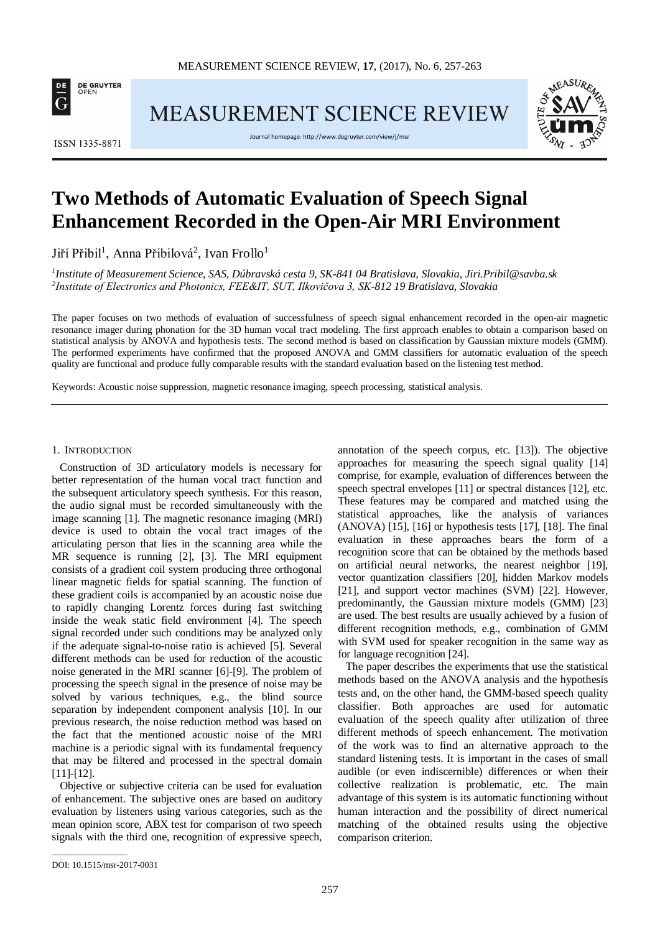

MEASUREMENT SCIENCE REVIEW



Journal homepage[: http://www.degruyter.com/view/j/msr](http://www.degruyter.com/view/j/msr)



# **Two Methods of Automatic Evaluation of Speech Signal Enhancement Recorded in the Open-Air MRI Environment**

Jiří Přibil<sup>1</sup>, Anna Přibilová<sup>2</sup>, Ivan Frollo<sup>1</sup>

*1 Institute of Measurement Science, SAS, Dúbravská cesta 9, SK-841 04 Bratislava, Slovakia, Jiri.Pribil@savba.sk 2 Institute of Electronics and Photonics, FEE&IT, SUT, Ilkovičova 3, SK-812 19 Bratislava, Slovakia*

The paper focuses on two methods of evaluation of successfulness of speech signal enhancement recorded in the open-air magnetic resonance imager during phonation for the 3D human vocal tract modeling. The first approach enables to obtain a comparison based on statistical analysis by ANOVA and hypothesis tests. The second method is based on classification by Gaussian mixture models (GMM). The performed experiments have confirmed that the proposed ANOVA and GMM classifiers for automatic evaluation of the speech quality are functional and produce fully comparable results with the standard evaluation based on the listening test method.

Keywords: Acoustic noise suppression, magnetic resonance imaging, speech processing, statistical analysis.

#### 1. INTRODUCTION

Construction of 3D articulatory models is necessary for better representation of the human vocal tract function and the subsequent articulatory speech synthesis. For this reason, the audio signal must be recorded simultaneously with the image scanning [1]. The magnetic resonance imaging (MRI) device is used to obtain the vocal tract images of the articulating person that lies in the scanning area while the MR sequence is running [2], [3]. The MRI equipment consists of a gradient coil system producing three orthogonal linear magnetic fields for spatial scanning. The function of these gradient coils is accompanied by an acoustic noise due to rapidly changing Lorentz forces during fast switching inside the weak static field environment [4]*.* The speech signal recorded under such conditions may be analyzed only if the adequate signal-to-noise ratio is achieved [5]. Several different methods can be used for reduction of the acoustic noise generated in the MRI scanner [6]-[9]. The problem of processing the speech signal in the presence of noise may be solved by various techniques, e.g., the blind source separation by independent component analysis [10]. In our previous research, the noise reduction method was based on the fact that the mentioned acoustic noise of the MRI machine is a periodic signal with its fundamental frequency that may be filtered and processed in the spectral domain [11]-[12].

Objective or subjective criteria can be used for evaluation of enhancement. The subjective ones are based on auditory evaluation by listeners using various categories, such as the mean opinion score, ABX test for comparison of two speech signals with the third one, recognition of expressive speech, annotation of the speech corpus, etc. [13]). The objective approaches for measuring the speech signal quality [14] comprise, for example, evaluation of differences between the speech spectral envelopes [11] or spectral distances [12], etc. These features may be compared and matched using the statistical approaches, like the analysis of variances (ANOVA) [15], [16] or hypothesis tests [17], [18]. The final evaluation in these approaches bears the form of a recognition score that can be obtained by the methods based on artificial neural networks, the nearest neighbor [19], vector quantization classifiers [20], hidden Markov models [21], and support vector machines (SVM) [22]. However, predominantly, the Gaussian mixture models (GMM) [23] are used. The best results are usually achieved by a fusion of different recognition methods, e.g., combination of GMM with SVM used for speaker recognition in the same way as for language recognition [24].

The paper describes the experiments that use the statistical methods based on the ANOVA analysis and the hypothesis tests and, on the other hand, the GMM-based speech quality classifier. Both approaches are used for automatic evaluation of the speech quality after utilization of three different methods of speech enhancement. The motivation of the work was to find an alternative approach to the standard listening tests. It is important in the cases of small audible (or even indiscernible) differences or when their collective realization is problematic, etc. The main advantage of this system is its automatic functioning without human interaction and the possibility of direct numerical matching of the obtained results using the objective comparison criterion.

\_\_\_\_\_\_\_\_\_\_\_\_\_\_\_\_\_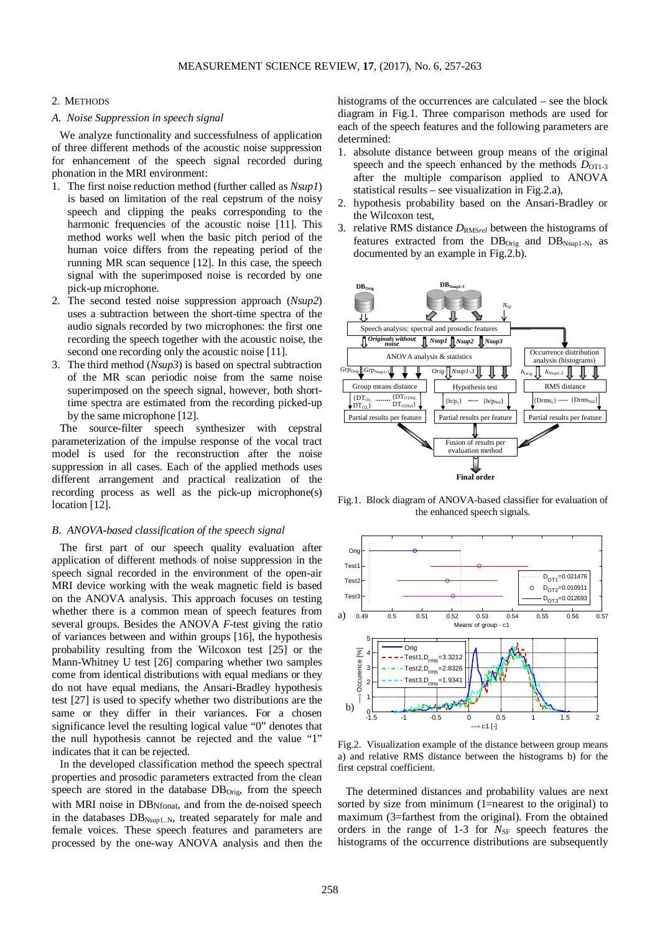#### 2. METHODS

## *A. Noise Suppression in speech signal*

We analyze functionality and successfulness of application of three different methods of the acoustic noise suppression for enhancement of the speech signal recorded during phonation in the MRI environment:

- 1. The first noise reduction method (further called as *Nsup1*) is based on limitation of the real cepstrum of the noisy speech and clipping the peaks corresponding to the harmonic frequencies of the acoustic noise [11]. This method works well when the basic pitch period of the human voice differs from the repeating period of the running MR scan sequence [12]. In this case, the speech signal with the superimposed noise is recorded by one pick-up microphone.
- 2. The second tested noise suppression approach (*Nsup2*) uses a subtraction between the short-time spectra of the audio signals recorded by two microphones: the first one recording the speech together with the acoustic noise, the second one recording only the acoustic noise [11].
- 3. The third method (*Nsup3*) is based on spectral subtraction of the MR scan periodic noise from the same noise superimposed on the speech signal, however, both shorttime spectra are estimated from the recording picked-up by the same microphone [12].

The source-filter speech synthesizer with cepstral parameterization of the impulse response of the vocal tract model is used for the reconstruction after the noise suppression in all cases. Each of the applied methods uses different arrangement and practical realization of the recording process as well as the pick-up microphone(s) location [12].

#### *B. ANOVA-based classification of the speech signal*

The first part of our speech quality evaluation after application of different methods of noise suppression in the speech signal recorded in the environment of the open-air MRI device working with the weak magnetic field is based on the ANOVA analysis. This approach focuses on testing whether there is a common mean of speech features from several groups. Besides the ANOVA *F-*test giving the ratio of variances between and within groups [16], the hypothesis probability resulting from the Wilcoxon test [25] or the Mann-Whitney U test [26] comparing whether two samples come from identical distributions with equal medians or they do not have equal medians, the Ansari-Bradley hypothesis test [27] is used to specify whether two distributions are the same or they differ in their variances. For a chosen significance level the resulting logical value "0" denotes that the null hypothesis cannot be rejected and the value "1" indicates that it can be rejected.

In the developed classification method the speech spectral properties and prosodic parameters extracted from the clean speech are stored in the database DB<sub>Orig</sub>, from the speech with MRI noise in DB<sub>Nfonat</sub>, and from the de-noised speech in the databases  $DB_{N\text{sup1..N}}$ , treated separately for male and female voices. These speech features and parameters are processed by the one-way ANOVA analysis and then the histograms of the occurrences are calculated – see the block diagram in Fig.1. Three comparison methods are used for each of the speech features and the following parameters are determined:

- 1. absolute distance between group means of the original speech and the speech enhanced by the methods  $D_{OT1-3}$ after the multiple comparison applied to ANOVA statistical results – see visualization in Fig.2.a),
- 2. hypothesis probability based on the Ansari-Bradley or the Wilcoxon test,
- 3. relative RMS distance  $D_{\text{RMS}rel}$  between the histograms of features extracted from the  $DB_{Orig}$  and  $DB_{Nsup1-N}$ , as documented by an example in Fig.2.b).



Fig.1. Block diagram of ANOVA-based classifier for evaluation of the enhanced speech signals.



Fig.2. Visualization example of the distance between group means a) and relative RMS distance between the histograms b) for the first cepstral coefficient.

The determined distances and probability values are next sorted by size from minimum (1=nearest to the original) to maximum (3=farthest from the original). From the obtained orders in the range of 1-3 for *N*<sub>SF</sub> speech features the histograms of the occurrence distributions are subsequently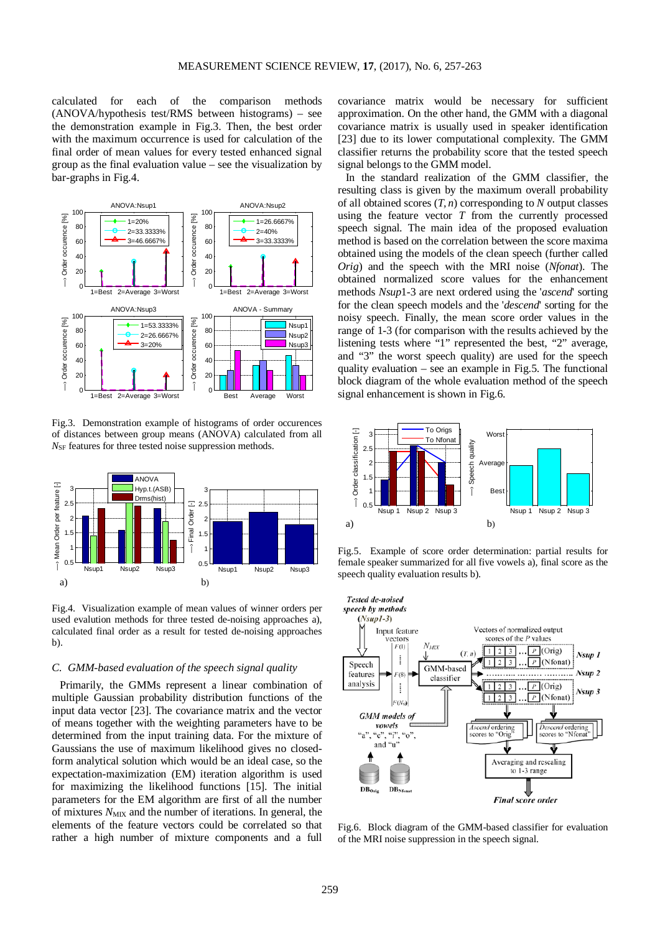calculated for each of the comparison methods (ANOVA/hypothesis test/RMS between histograms) – see the demonstration example in Fig.3. Then, the best order with the maximum occurrence is used for calculation of the final order of mean values for every tested enhanced signal group as the final evaluation value – see the visualization by bar-graphs in Fig.4.



Fig.3. Demonstration example of histograms of order occurences of distances between group means (ANOVA) calculated from all  $N_{\text{SF}}$  features for three tested noise suppression methods.



Fig.4. Visualization example of mean values of winner orders per used evalution methods for three tested de-noising approaches a), calculated final order as a result for tested de-noising approaches b).

# *C. GMM-based evaluation of the speech signal quality*

Primarily, the GMMs represent a linear combination of multiple Gaussian probability distribution functions of the input data vector [23]. The covariance matrix and the vector of means together with the weighting parameters have to be determined from the input training data. For the mixture of Gaussians the use of maximum likelihood gives no closedform analytical solution which would be an ideal case, so the expectation-maximization (EM) iteration algorithm is used for maximizing the likelihood functions [15]. The initial parameters for the EM algorithm are first of all the number of mixtures  $N_{\text{MIX}}$  and the number of iterations. In general, the elements of the feature vectors could be correlated so that rather a high number of mixture components and a full covariance matrix would be necessary for sufficient approximation. On the other hand, the GMM with a diagonal covariance matrix is usually used in speaker identification [23] due to its lower computational complexity. The GMM classifier returns the probability score that the tested speech signal belongs to the GMM model.

In the standard realization of the GMM classifier, the resulting class is given by the maximum overall probability of all obtained scores  $(T, n)$  corresponding to  $N$  output classes using the feature vector *T* from the currently processed speech signal. The main idea of the proposed evaluation method is based on the correlation between the score maxima obtained using the models of the clean speech (further called *Orig*) and the speech with the MRI noise (*Nfonat*). The obtained normalized score values for the enhancement methods *Nsup*1-3 are next ordered using the '*ascend*' sorting for the clean speech models and the '*descend*' sorting for the noisy speech. Finally, the mean score order values in the range of 1-3 (for comparison with the results achieved by the listening tests where "1" represented the best, "2" average, and "3" the worst speech quality) are used for the speech quality evaluation – see an example in Fig.5. The functional block diagram of the whole evaluation method of the speech signal enhancement is shown in Fig.6.



Fig.5. Example of score order determination: partial results for female speaker summarized for all five vowels a), final score as the speech quality evaluation results b).



Fig.6. Block diagram of the GMM-based classifier for evaluation of the MRI noise suppression in the speech signal.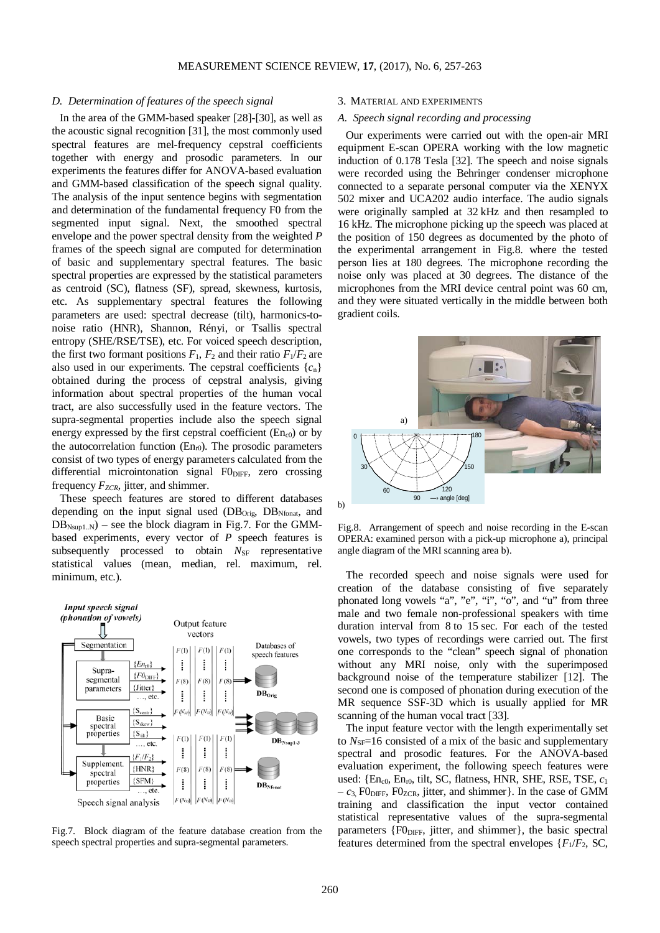# *D. Determination of features of the speech signal*

In the area of the GMM-based speaker [28]-[30], as well as the acoustic signal recognition [31], the most commonly used spectral features are mel-frequency cepstral coefficients together with energy and prosodic parameters. In our experiments the features differ for ANOVA-based evaluation and GMM-based classification of the speech signal quality. The analysis of the input sentence begins with segmentation and determination of the fundamental frequency F0 from the segmented input signal. Next, the smoothed spectral envelope and the power spectral density from the weighted *P* frames of the speech signal are computed for determination of basic and supplementary spectral features. The basic spectral properties are expressed by the statistical parameters as centroid (SC), flatness (SF), spread, skewness, kurtosis, etc. As supplementary spectral features the following parameters are used: spectral decrease (tilt), harmonics-tonoise ratio (HNR), Shannon, Rényi, or Tsallis spectral entropy (SHE/RSE/TSE), etc. For voiced speech description, the first two formant positions  $F_1$ ,  $F_2$  and their ratio  $F_1/F_2$  are also used in our experiments. The cepstral coefficients  ${c_n}$ obtained during the process of cepstral analysis, giving information about spectral properties of the human vocal tract, are also successfully used in the feature vectors. The supra-segmental properties include also the speech signal energy expressed by the first cepstral coefficient  $(En<sub>c0</sub>)$  or by the autocorrelation function  $(En<sub>r0</sub>)$ . The prosodic parameters consist of two types of energy parameters calculated from the differential microintonation signal  $F0_{\text{DIFF}}$ , zero crossing frequency  $F_{ZCR}$ , jitter, and shimmer.

These speech features are stored to different databases depending on the input signal used  $(DB<sub>Orie</sub>, DB<sub>Nfonat</sub>, and$  $DB_{Nsub1,N}$  – see the block diagram in Fig.7. For the GMMbased experiments, every vector of *P* speech features is subsequently processed to obtain N<sub>SF</sub> representative statistical values (mean, median, rel. maximum, rel. minimum, etc.).



Fig.7. Block diagram of the feature database creation from the speech spectral properties and supra-segmental parameters.

## 3. MATERIAL AND EXPERIMENTS

# *A. Speech signal recording and processing*

Our experiments were carried out with the open-air MRI equipment E-scan OPERA working with the low magnetic induction of 0.178 Tesla [32]. The speech and noise signals were recorded using the Behringer condenser microphone connected to a separate personal computer via the XENYX 502 mixer and UCA202 audio interface. The audio signals were originally sampled at 32 kHz and then resampled to 16 kHz. The microphone picking up the speech was placed at the position of 150 degrees as documented by the photo of the experimental arrangement in Fig.8. where the tested person lies at 180 degrees. The microphone recording the noise only was placed at 30 degrees. The distance of the microphones from the MRI device central point was 60 cm, and they were situated vertically in the middle between both gradient coils.



Fig.8. Arrangement of speech and noise recording in the E-scan OPERA: examined person with a pick-up microphone a), principal angle diagram of the MRI scanning area b).

The recorded speech and noise signals were used for creation of the database consisting of five separately phonated long vowels "a", "e", "i", "o", and "u" from three male and two female non-professional speakers with time duration interval from 8 to 15 sec. For each of the tested vowels, two types of recordings were carried out. The first one corresponds to the "clean" speech signal of phonation without any MRI noise, only with the superimposed background noise of the temperature stabilizer [12]. The second one is composed of phonation during execution of the MR sequence SSF-3D which is usually applied for MR scanning of the human vocal tract [33].

The input feature vector with the length experimentally set to  $N_{\text{SF}}=16$  consisted of a mix of the basic and supplementary spectral and prosodic features. For the ANOVA-based evaluation experiment, the following speech features were used:  ${En_{c0}, En_{r0}, tilt, SC, flatness, HNR, SHE, RSE, TSE,  $c_1$$  $-c_3$ , FO<sub>DIFF</sub>, FO<sub>ZCR</sub>, jitter, and shimmer}. In the case of GMM training and classification the input vector contained statistical representative values of the supra-segmental parameters  ${F0}_{\text{DIFF}}$ , jitter, and shimmer}, the basic spectral features determined from the spectral envelopes  ${F_1/F_2$ , SC,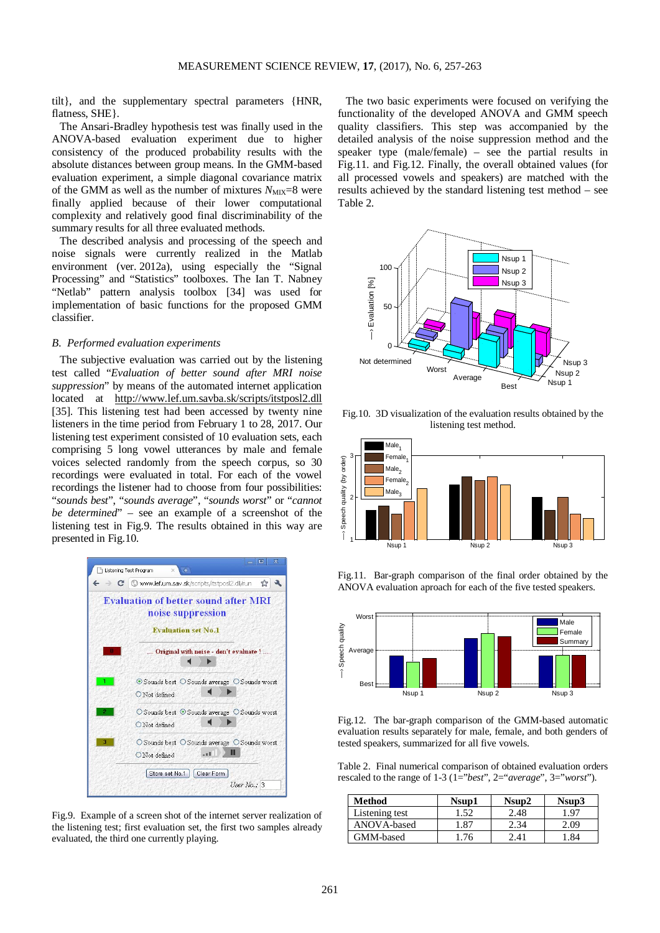tilt}, and the supplementary spectral parameters {HNR, flatness, SHE}.

The Ansari-Bradley hypothesis test was finally used in the ANOVA-based evaluation experiment due to higher consistency of the produced probability results with the absolute distances between group means. In the GMM-based evaluation experiment, a simple diagonal covariance matrix of the GMM as well as the number of mixtures  $N_{\text{MIX}}=8$  were finally applied because of their lower computational complexity and relatively good final discriminability of the summary results for all three evaluated methods.

The described analysis and processing of the speech and noise signals were currently realized in the Matlab environment (ver. 2012a), using especially the "Signal Processing" and "Statistics" toolboxes. The Ian T. Nabney "Netlab" pattern analysis toolbox [34] was used for implementation of basic functions for the proposed GMM classifier.

#### *B. Performed evaluation experiments*

The subjective evaluation was carried out by the listening test called "*Evaluation of better sound after MRI noise suppression*" by means of the automated internet application located at <http://www.lef.um.savba.sk/scripts/itstposl2.dll> [35]. This listening test had been accessed by twenty nine listeners in the time period from February 1 to 28, 2017. Our listening test experiment consisted of 10 evaluation sets, each comprising 5 long vowel utterances by male and female voices selected randomly from the speech corpus, so 30 recordings were evaluated in total. For each of the vowel recordings the listener had to choose from four possibilities: "*sounds best*", "*sounds average*", "*sounds worst*" or "*cannot be determined*" – see an example of a screenshot of the listening test in Fig.9. The results obtained in this way are presented in Fig.10.



Fig.9. Example of a screen shot of the internet server realization of the listening test; first evaluation set, the first two samples already evaluated, the third one currently playing.

The two basic experiments were focused on verifying the functionality of the developed ANOVA and GMM speech quality classifiers. This step was accompanied by the detailed analysis of the noise suppression method and the speaker type (male/female) – see the partial results in Fig.11. and Fig.12. Finally, the overall obtained values (for all processed vowels and speakers) are matched with the results achieved by the standard listening test method – see Table 2.



Fig.10. 3D visualization of the evaluation results obtained by the listening test method.



Fig.11. Bar-graph comparison of the final order obtained by the ANOVA evaluation aproach for each of the five tested speakers.



Fig.12. The bar-graph comparison of the GMM-based automatic evaluation results separately for male, female, and both genders of tested speakers, summarized for all five vowels.

Table 2. Final numerical comparison of obtained evaluation orders rescaled to the range of 1-3 (1="*best*", 2="*average*", 3="*worst*").

| <b>Method</b>  | Nsup1 | Nsup2 | Nsup3 |
|----------------|-------|-------|-------|
| Listening test | . .52 | 2.48  | .97   |
| ANOVA-based    | .87   | 2.34  | .09   |
| GMM-based      |       | 2.41  |       |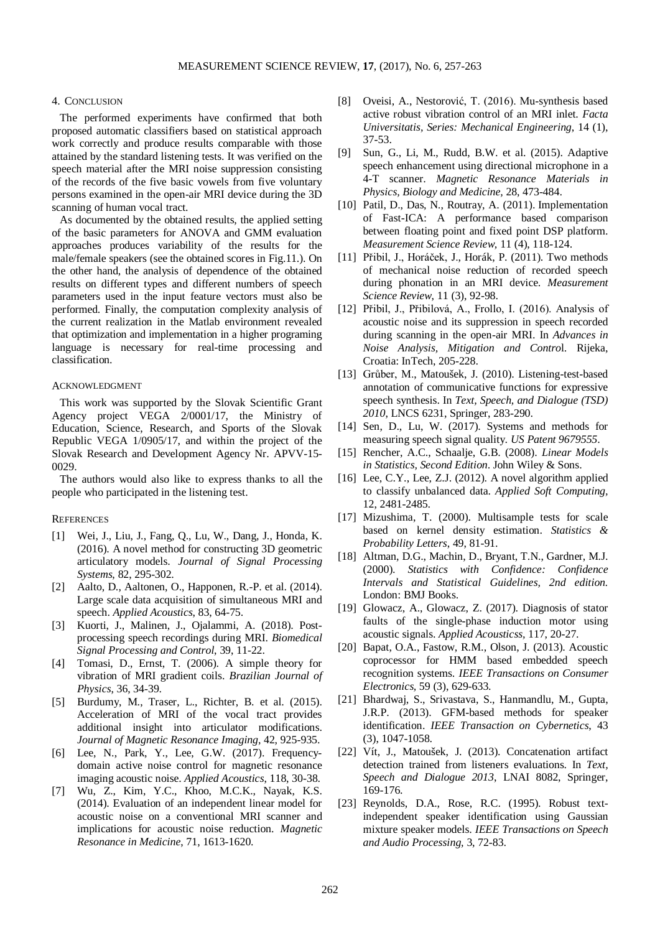#### 4. CONCLUSION

The performed experiments have confirmed that both proposed automatic classifiers based on statistical approach work correctly and produce results comparable with those attained by the standard listening tests. It was verified on the speech material after the MRI noise suppression consisting of the records of the five basic vowels from five voluntary persons examined in the open-air MRI device during the 3D scanning of human vocal tract.

As documented by the obtained results, the applied setting of the basic parameters for ANOVA and GMM evaluation approaches produces variability of the results for the male/female speakers (see the obtained scores in Fig.11.). On the other hand, the analysis of dependence of the obtained results on different types and different numbers of speech parameters used in the input feature vectors must also be performed. Finally, the computation complexity analysis of the current realization in the Matlab environment revealed that optimization and implementation in a higher programing language is necessary for real-time processing and classification.

# ACKNOWLEDGMENT

This work was supported by the Slovak Scientific Grant Agency project VEGA 2/0001/17, the Ministry of Education, Science, Research, and Sports of the Slovak Republic VEGA 1/0905/17, and within the project of the Slovak Research and Development Agency Nr. APVV-15- 0029.

The authors would also like to express thanks to all the people who participated in the listening test.

#### **REFERENCES**

- [1] Wei, J., Liu, J., Fang, Q., Lu, W., Dang, J., Honda, K. (2016). A novel method for constructing 3D geometric articulatory models. *Journal of Signal Processing Systems*, 82, 295-302.
- [2] Aalto, D., Aaltonen, O., Happonen, R.-P. et al. (2014). Large scale data acquisition of simultaneous MRI and speech. *Applied Acoustics*, 83, 64-75.
- [3] Kuorti, J., Malinen, J., Ojalammi, A. (2018). Postprocessing speech recordings during MRI. *Biomedical Signal Processing and Control*, 39, 11-22.
- [4] Tomasi, D., Ernst, T. (2006). A simple theory for vibration of MRI gradient coils. *Brazilian Journal of Physics*, 36, 34-39.
- [5] Burdumy, M., Traser, L., Richter, B. et al. (2015). Acceleration of MRI of the vocal tract provides additional insight into articulator modifications. *Journal of Magnetic Resonance Imaging*, 42, 925-935.
- [6] Lee, N., Park, Y., Lee, G.W. (2017). Frequencydomain active noise control for magnetic resonance imaging acoustic noise. *Applied Acoustics*, 118, 30-38.
- [7] Wu, Z., Kim, Y.C., Khoo, M.C.K., Nayak, K.S. (2014). Evaluation of an independent linear model for acoustic noise on a conventional MRI scanner and implications for acoustic noise reduction. *Magnetic Resonance in Medicine*, 71, 1613-1620.
- [8] Oveisi, A., Nestorović, T. (2016). Mu-synthesis based active robust vibration control of an MRI inlet. *Facta Universitatis, Series: Mechanical Engineering*, 14 (1), 37-53.
- [9] Sun, G., Li, M., Rudd, B.W. et al. (2015). Adaptive speech enhancement using directional microphone in a 4-T scanner. *Magnetic Resonance Materials in Physics, Biology and Medicine,* 28, 473-484.
- [10] Patil, D., Das, N., Routray, A. (2011). Implementation of Fast-ICA: A performance based comparison between floating point and fixed point DSP platform. *Measurement Science Review,* 11 (4), 118-124.
- [11] Přibil, J., Horáček, J., Horák, P. (2011). Two methods of mechanical noise reduction of recorded speech during phonation in an MRI device. *Measurement Science Review*, 11 (3), 92-98.
- [12] Přibil, J., Přibilová, A., Frollo, I. (2016). Analysis of acoustic noise and its suppression in speech recorded during scanning in the open-air MRI. In *Advances in Noise Analysis, Mitigation and Contro*l. Rijeka, Croatia: InTech, 205-228.
- [13] Grůber, M., Matoušek, J. (2010). Listening-test-based annotation of communicative functions for expressive speech synthesis. In *Text, Speech, and Dialogue (TSD) 2010*, LNCS 6231, Springer, 283-290.
- [14] Sen, D., Lu, W. (2017). Systems and methods for measuring speech signal quality. *US Patent 9679555*.
- [15] Rencher, A.C., Schaalje, G.B. (2008). *Linear Models in Statistics, Second Edition*. John Wiley & Sons.
- [16] Lee, C.Y., Lee, Z.J. (2012). A novel algorithm applied to classify unbalanced data. *Applied Soft Computing,* 12, 2481-2485.
- [17] Mizushima, T. (2000). Multisample tests for scale based on kernel density estimation. *Statistics & Probability Letters*, 49, 81-91.
- [18] Altman, D.G., Machin, D., Bryant, T.N., Gardner, M.J. (2000). *Statistics with Confidence: Confidence Intervals and Statistical Guidelines, 2nd edition.* London: BMJ Books.
- [19] Glowacz, A., Glowacz, Z. (2017). Diagnosis of stator faults of the single-phase induction motor using acoustic signals. *Applied Acousticss,* 117, 20-27.
- [20] Bapat, O.A., Fastow, R.M., Olson, J. (2013). Acoustic coprocessor for HMM based embedded speech recognition systems. *IEEE Transactions on Consumer Electronics,* 59 (3), 629-633.
- [21] Bhardwaj, S., Srivastava, S., Hanmandlu, M., Gupta, J.R.P. (2013). GFM-based methods for speaker identification. *IEEE Transaction on Cybernetics*, 43 (3), 1047-1058.
- [22] Vít, J., Matoušek, J. (2013). Concatenation artifact detection trained from listeners evaluations. In *Text, Speech and Dialogue 2013*, LNAI 8082, Springer, 169-176.
- [23] Reynolds, D.A., Rose, R.C. (1995). Robust textindependent speaker identification using Gaussian mixture speaker models. *IEEE Transactions on Speech and Audio Processing,* 3, 72-83.